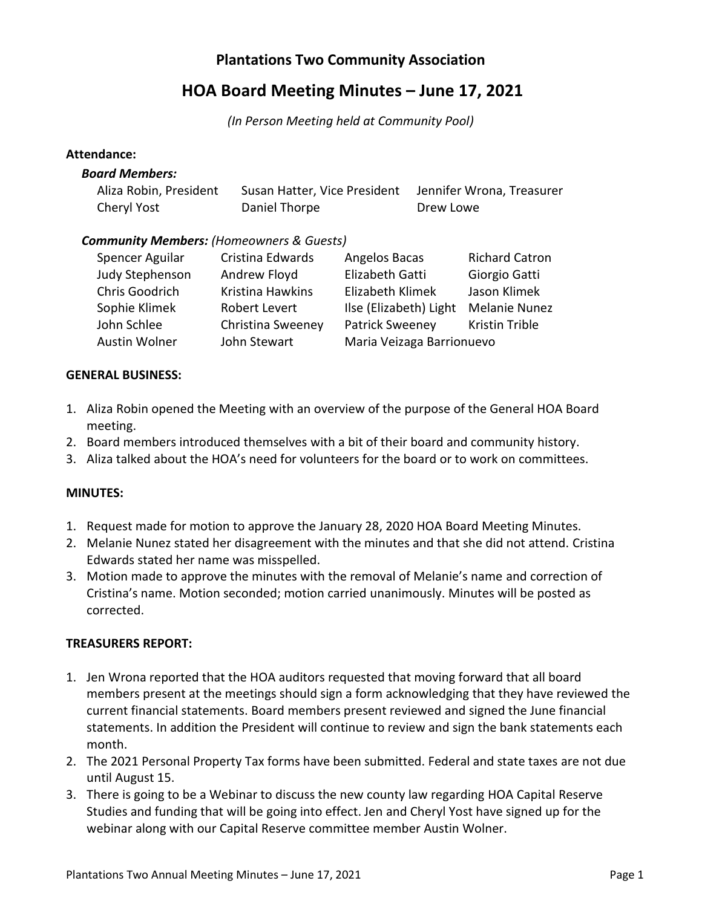## **Plantations Two Community Association**

# **HOA Board Meeting Minutes – June 17, 2021**

*(In Person Meeting held at Community Pool)*

#### **Attendance:**

#### *Board Members:*

| Aliza Robin, President | Susan Hatter, Vice President Jennifer Wrona, Treasurer |           |
|------------------------|--------------------------------------------------------|-----------|
| Cheryl Yost            | Daniel Thorpe                                          | Drew Lowe |

## *Community Members: (Homeowners & Guests)*

| Spencer Aguilar | Cristina Edwards  | Angelos Bacas             | <b>Richard Catron</b> |
|-----------------|-------------------|---------------------------|-----------------------|
| Judy Stephenson | Andrew Floyd      | Elizabeth Gatti           | Giorgio Gatti         |
| Chris Goodrich  | Kristina Hawkins  | Elizabeth Klimek          | Jason Klimek          |
| Sophie Klimek   | Robert Levert     | Ilse (Elizabeth) Light    | <b>Melanie Nunez</b>  |
| John Schlee     | Christina Sweeney | <b>Patrick Sweeney</b>    | Kristin Trible        |
| Austin Wolner   | John Stewart      | Maria Veizaga Barrionuevo |                       |

## **GENERAL BUSINESS:**

- 1. Aliza Robin opened the Meeting with an overview of the purpose of the General HOA Board meeting.
- 2. Board members introduced themselves with a bit of their board and community history.
- 3. Aliza talked about the HOA's need for volunteers for the board or to work on committees.

## **MINUTES:**

- 1. Request made for motion to approve the January 28, 2020 HOA Board Meeting Minutes.
- 2. Melanie Nunez stated her disagreement with the minutes and that she did not attend. Cristina Edwards stated her name was misspelled.
- 3. Motion made to approve the minutes with the removal of Melanie's name and correction of Cristina's name. Motion seconded; motion carried unanimously. Minutes will be posted as corrected.

## **TREASURERS REPORT:**

- 1. Jen Wrona reported that the HOA auditors requested that moving forward that all board members present at the meetings should sign a form acknowledging that they have reviewed the current financial statements. Board members present reviewed and signed the June financial statements. In addition the President will continue to review and sign the bank statements each month.
- 2. The 2021 Personal Property Tax forms have been submitted. Federal and state taxes are not due until August 15.
- 3. There is going to be a Webinar to discuss the new county law regarding HOA Capital Reserve Studies and funding that will be going into effect. Jen and Cheryl Yost have signed up for the webinar along with our Capital Reserve committee member Austin Wolner.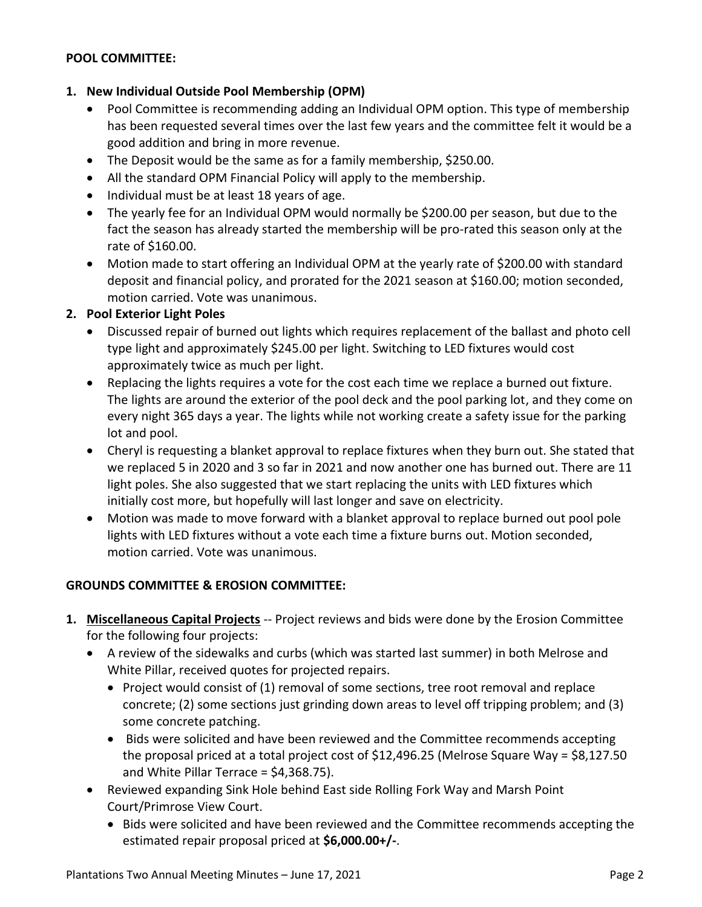## **POOL COMMITTEE:**

## **1. New Individual Outside Pool Membership (OPM)**

- Pool Committee is recommending adding an Individual OPM option. This type of membership has been requested several times over the last few years and the committee felt it would be a good addition and bring in more revenue.
- The Deposit would be the same as for a family membership, \$250.00.
- All the standard OPM Financial Policy will apply to the membership.
- Individual must be at least 18 years of age.
- The yearly fee for an Individual OPM would normally be \$200.00 per season, but due to the fact the season has already started the membership will be pro-rated this season only at the rate of \$160.00.
- Motion made to start offering an Individual OPM at the yearly rate of \$200.00 with standard deposit and financial policy, and prorated for the 2021 season at \$160.00; motion seconded, motion carried. Vote was unanimous.

## **2. Pool Exterior Light Poles**

- Discussed repair of burned out lights which requires replacement of the ballast and photo cell type light and approximately \$245.00 per light. Switching to LED fixtures would cost approximately twice as much per light.
- Replacing the lights requires a vote for the cost each time we replace a burned out fixture. The lights are around the exterior of the pool deck and the pool parking lot, and they come on every night 365 days a year. The lights while not working create a safety issue for the parking lot and pool.
- Cheryl is requesting a blanket approval to replace fixtures when they burn out. She stated that we replaced 5 in 2020 and 3 so far in 2021 and now another one has burned out. There are 11 light poles. She also suggested that we start replacing the units with LED fixtures which initially cost more, but hopefully will last longer and save on electricity.
- Motion was made to move forward with a blanket approval to replace burned out pool pole lights with LED fixtures without a vote each time a fixture burns out. Motion seconded, motion carried. Vote was unanimous.

## **GROUNDS COMMITTEE & EROSION COMMITTEE:**

- **1. Miscellaneous Capital Projects** -- Project reviews and bids were done by the Erosion Committee for the following four projects:
	- A review of the sidewalks and curbs (which was started last summer) in both Melrose and White Pillar, received quotes for projected repairs.
		- Project would consist of (1) removal of some sections, tree root removal and replace concrete; (2) some sections just grinding down areas to level off tripping problem; and (3) some concrete patching.
		- Bids were solicited and have been reviewed and the Committee recommends accepting the proposal priced at a total project cost of \$12,496.25 (Melrose Square Way = \$8,127.50 and White Pillar Terrace = \$4,368.75).
	- Reviewed expanding Sink Hole behind East side Rolling Fork Way and Marsh Point Court/Primrose View Court.
		- Bids were solicited and have been reviewed and the Committee recommends accepting the estimated repair proposal priced at **\$6,000.00+/-**.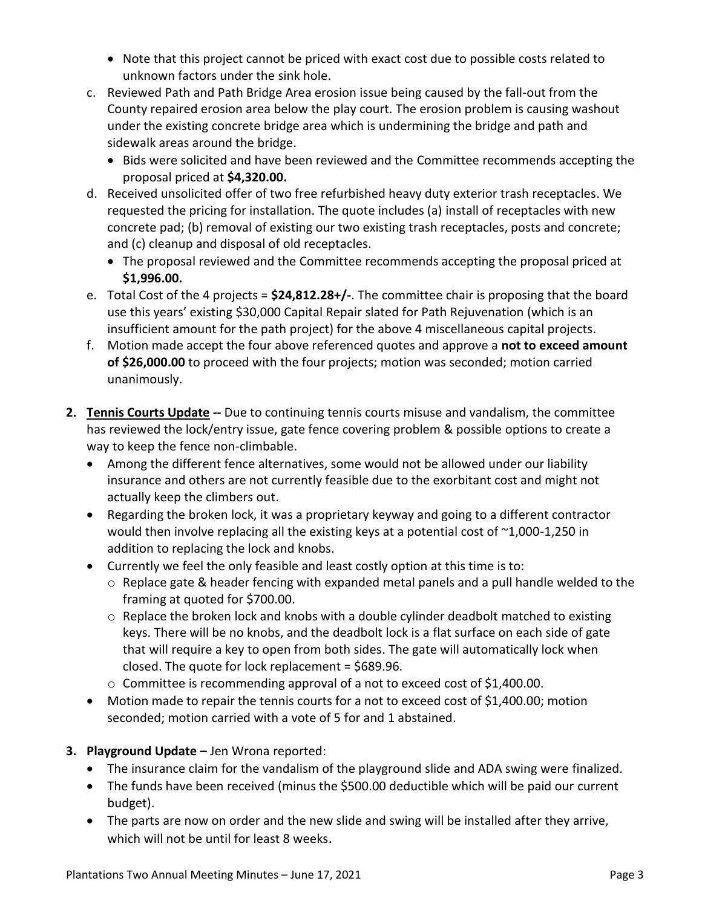- Note that this project cannot be priced with exact cost due to possible costs related to unknown factors under the sink hole.
- c. Reviewed Path and Path Bridge Area erosion issue being caused by the fall-out from the County repaired erosion area below the play court. The erosion problem is causing washout under the existing concrete bridge area which is undermining the bridge and path and sidewalk areas around the bridge.
	- Bids were solicited and have been reviewed and the Committee recommends accepting the proposal priced at **\$4,320.00.**
- d. Received unsolicited offer of two free refurbished heavy duty exterior trash receptacles. We requested the pricing for installation. The quote includes (a) install of receptacles with new concrete pad; (b) removal of existing our two existing trash receptacles, posts and concrete; and (c) cleanup and disposal of old receptacles.
	- The proposal reviewed and the Committee recommends accepting the proposal priced at **\$1,996.00.**
- e. Total Cost of the 4 projects = **\$24,812.28+/-**. The committee chair is proposing that the board use this years' existing \$30,000 Capital Repair slated for Path Rejuvenation (which is an insufficient amount for the path project) for the above 4 miscellaneous capital projects.
- f. Motion made accept the four above referenced quotes and approve a **not to exceed amount of \$26,000.00** to proceed with the four projects; motion was seconded; motion carried unanimously.
- **2. Tennis Courts Update --** Due to continuing tennis courts misuse and vandalism, the committee has reviewed the lock/entry issue, gate fence covering problem & possible options to create a way to keep the fence non-climbable.
	- Among the different fence alternatives, some would not be allowed under our liability insurance and others are not currently feasible due to the exorbitant cost and might not actually keep the climbers out.
	- Regarding the broken lock, it was a proprietary keyway and going to a different contractor would then involve replacing all the existing keys at a potential cost of  $\sim$ 1,000-1,250 in addition to replacing the lock and knobs.
	- Currently we feel the only feasible and least costly option at this time is to:
		- o Replace gate & header fencing with expanded metal panels and a pull handle welded to the framing at quoted for \$700.00.
		- $\circ$  Replace the broken lock and knobs with a double cylinder deadbolt matched to existing keys. There will be no knobs, and the deadbolt lock is a flat surface on each side of gate that will require a key to open from both sides. The gate will automatically lock when closed. The quote for lock replacement = \$689.96.
		- o Committee is recommending approval of a not to exceed cost of \$1,400.00.
	- Motion made to repair the tennis courts for a not to exceed cost of \$1,400.00; motion seconded; motion carried with a vote of 5 for and 1 abstained.
- **3. Playground Update** Jen Wrona reported:
	- The insurance claim for the vandalism of the playground slide and ADA swing were finalized.
	- The funds have been received (minus the \$500.00 deductible which will be paid our current budget).
	- The parts are now on order and the new slide and swing will be installed after they arrive, which will not be until for least 8 weeks.